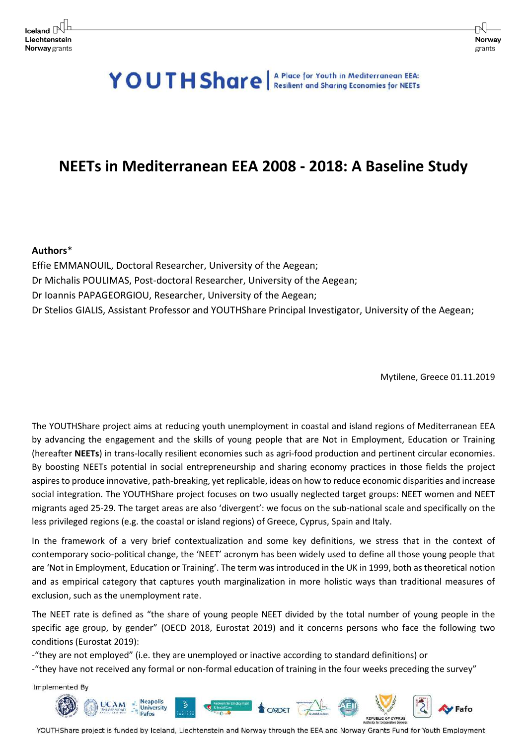# YOUTH Share A Place for Youth in Mediterranean EEA:

# **NEETs in Mediterranean EEA 2008 - 2018: A Baseline Study**

# **Authors**\*

Effie EMMANOUIL, Doctoral Researcher, University of the Aegean; Dr Michalis POULIMAS, Post-doctoral Researcher, University of the Aegean; Dr Ioannis PAPAGEORGIOU, Researcher, University of the Aegean; Dr Stelios GIALIS, Assistant Professor and YOUTHShare Principal Investigator, University of the Aegean;

Mytilene, Greece 01.11.2019

The YOUTHShare project aims at reducing youth unemployment in coastal and island regions of Mediterranean EEA by advancing the engagement and the skills of young people that are Not in Employment, Education or Training (hereafter **NEETs**) in trans-locally resilient economies such as agri-food production and pertinent circular economies. By boosting NEETs potential in social entrepreneurship and sharing economy practices in those fields the project aspires to produce innovative, path-breaking, yet replicable, ideas on how to reduce economic disparities and increase social integration. The YOUTHShare project focuses on two usually neglected target groups: NEET women and NEET migrants aged 25-29. The target areas are also 'divergent': we focus on the sub-national scale and specifically on the less privileged regions (e.g. the coastal or island regions) of Greece, Cyprus, Spain and Italy.

In the framework of a very brief contextualization and some key definitions, we stress that in the context of contemporary socio-political change, the 'NEET' acronym has been widely used to define all those young people that are 'Not in Employment, Education or Training'. The term was introduced in the UK in 1999, both as theoretical notion and as empirical category that captures youth marginalization in more holistic ways than traditional measures of exclusion, such as the unemployment rate.

The NEET rate is defined as "the share of young people NEET divided by the total number of young people in the specific age group, by gender" (OECD 2018, Eurostat 2019) and it concerns persons who face the following two conditions (Eurostat 2019):

-"they are not employed" (i.e. they are unemployed or inactive according to standard definitions) or

-"they have not received any formal or non-formal education of training in the four weeks preceding the survey"

Implemented By

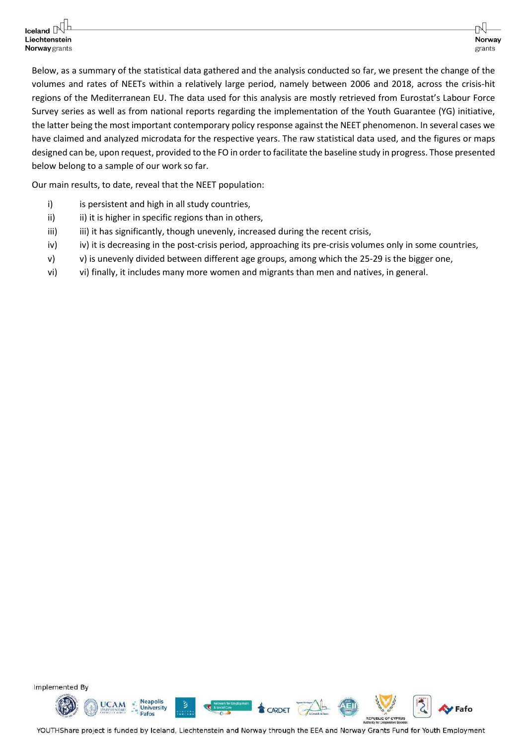Below, as a summary of the statistical data gathered and the analysis conducted so far, we present the change of the volumes and rates of NEETs within a relatively large period, namely between 2006 and 2018, across the crisis-hit regions of the Mediterranean EU. The data used for this analysis are mostly retrieved from Eurostat's Labour Force Survey series as well as from national reports regarding the implementation of the Youth Guarantee (YG) initiative, the latter being the most important contemporary policy response against the NEET phenomenon. In several cases we have claimed and analyzed microdata for the respective years. The raw statistical data used, and the figures or maps designed can be, upon request, provided to the FO in order to facilitate the baseline study in progress. Those presented below belong to a sample of our work so far.

Our main results, to date, reveal that the NEET population:

- i) is persistent and high in all study countries,
- ii) ii) it is higher in specific regions than in others,
- iii) iii) it has significantly, though unevenly, increased during the recent crisis,
- iv) iv) it is decreasing in the post-crisis period, approaching its pre-crisis volumes only in some countries,
- v) v) is unevenly divided between different age groups, among which the 25-29 is the bigger one,
- vi) vi) finally, it includes many more women and migrants than men and natives, in general.

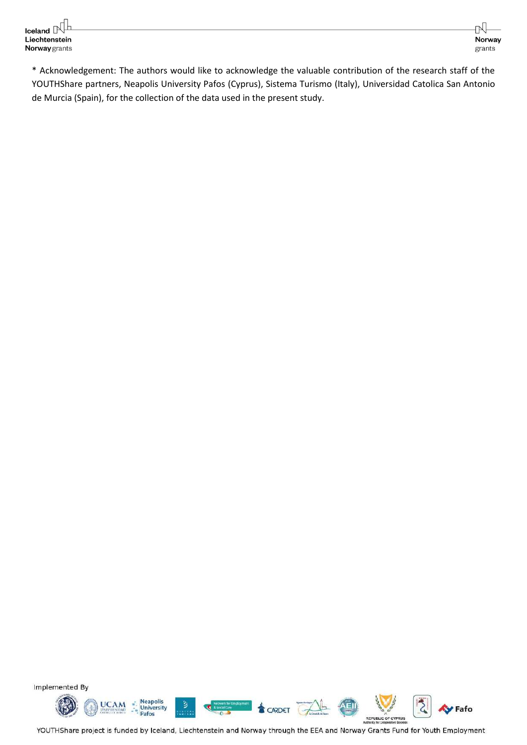\* Acknowledgement: The authors would like to acknowledge the valuable contribution of the research staff of the YOUTHShare partners, Neapolis University Pafos (Cyprus), Sistema Turismo (Italy), Universidad Catolica San Antonio de Murcia (Spain), for the collection of the data used in the present study.

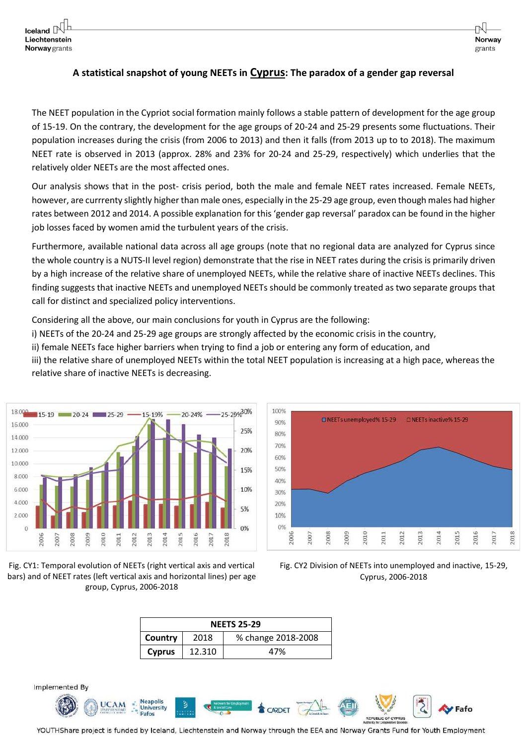# **A statistical snapshot of young NEETs in Cyprus: The paradox of a gender gap reversal**

The NEET population in the Cypriot social formation mainly follows a stable pattern of development for the age group of 15-19. On the contrary, the development for the age groups of 20-24 and 25-29 presents some fluctuations. Their population increases during the crisis (from 2006 to 2013) and then it falls (from 2013 up to to 2018). The maximum NEET rate is observed in 2013 (approx. 28% and 23% for 20-24 and 25-29, respectively) which underlies that the relatively older NEETs are the most affected ones.

Our analysis shows that in the post- crisis period, both the male and female NEET rates increased. Female NEETs, however, are currrenty slightly higher than male ones, especially in the 25-29 age group, even though males had higher rates between 2012 and 2014. A possible explanation for this 'gender gap reversal' paradox can be found in the higher job losses faced by women amid the turbulent years of the crisis.

Furthermore, available national data across all age groups (note that no regional data are analyzed for Cyprus since the whole country is a NUTS-II level region) demonstrate that the rise in NEET rates during the crisis is primarily driven by a high increase of the relative share of unemployed NEETs, while the relative share of inactive NEETs declines. This finding suggests that inactive NEETs and unemployed NEETs should be commonly treated as two separate groups that call for distinct and specialized policy interventions.

Considering all the above, our main conclusions for youth in Cyprus are the following:

- i) NEETs of the 20-24 and 25-29 age groups are strongly affected by the economic crisis in the country,
- ii) female NEETs face higher barriers when trying to find a job or entering any form of education, and
- iii) the relative share of unemployed NEETs within the total NEET population is increasing at a high pace, whereas the relative share of inactive NEETs is decreasing.







Fig. CY2 Division of NEETs into unemployed and inactive, 15-29, Cyprus, 2006-2018

| <b>NEETS 25-29</b> |        |                    |  |  |  |  |
|--------------------|--------|--------------------|--|--|--|--|
| Country            | 2018   | % change 2018-2008 |  |  |  |  |
| <b>Cyprus</b>      | 12.310 | 47%                |  |  |  |  |

Implemented By

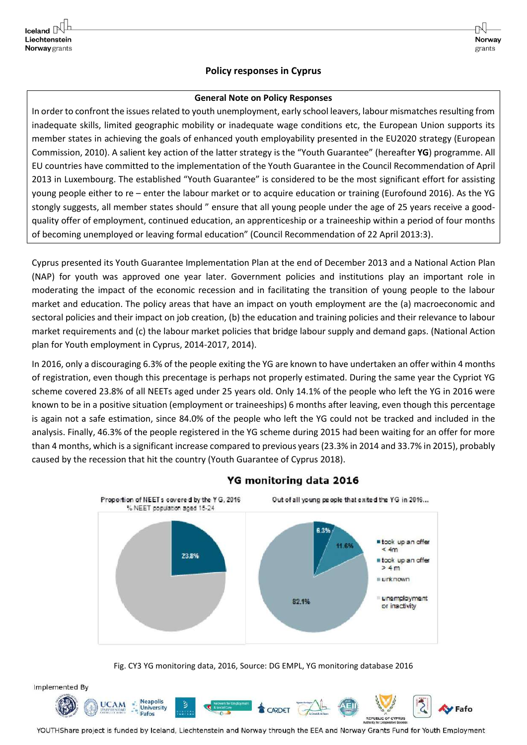# **Policy responses in Cyprus**

Norway

grants

#### **General Note on Policy Responses**

In order to confront the issues related to youth unemployment, early school leavers, labour mismatches resulting from inadequate skills, limited geographic mobility or inadequate wage conditions etc, the European Union supports its member states in achieving the goals of enhanced youth employability presented in the EU2020 strategy (European Commission, 2010). A salient key action of the latter strategy is the "Youth Guarantee" (hereafter **YG**) programme. All EU countries have committed to the implementation of the Youth Guarantee in the Council Recommendation of April 2013 in Luxembourg. The established "Youth Guarantee" is considered to be the most significant effort for assisting young people either to re – enter the labour market or to acquire education or training (Eurofound 2016). As the YG stongly suggests, all member states should " ensure that all young people under the age of 25 years receive a goodquality offer of employment, continued education, an apprenticeship or a traineeship within a period of four months of becoming unemployed or leaving formal education" (Council Recommendation of 22 April 2013:3).

Cyprus presented its Youth Guarantee Implementation Plan at the end of December 2013 and a National Action Plan (NAP) for youth was approved one year later. Government policies and institutions play an important role in moderating the impact of the economic recession and in facilitating the transition of young people to the labour market and education. The policy areas that have an impact on youth employment are the (a) macroeconomic and sectoral policies and their impact on job creation, (b) the education and training policies and their relevance to labour market requirements and (c) the labour market policies that bridge labour supply and demand gaps. (National Action plan for Youth employment in Cyprus, 2014-2017, 2014).

In 2016, only a discouraging 6.3% of the people exiting the YG are known to have undertaken an offer within 4 months of registration, even though this precentage is perhaps not properly estimated. During the same year the Cypriot YG scheme covered 23.8% of all NEETs aged under 25 years old. Only 14.1% of the people who left the YG in 2016 were known to be in a positive situation (employment or traineeships) 6 months after leaving, even though this percentage is again not a safe estimation, since 84.0% of the people who left the YG could not be tracked and included in the analysis. Finally, 46.3% of the people registered in the YG scheme during 2015 had been waiting for an offer for more than 4 months, which is a significant increase compared to previous years (23.3% in 2014 and 33.7% in 2015), probably caused by the recession that hit the country (Youth Guarantee of Cyprus 2018).



#### YG monitoring data 2016

Fig. CY3 YG monitoring data, 2016, Source: DG EMPL, YG monitoring database 2016

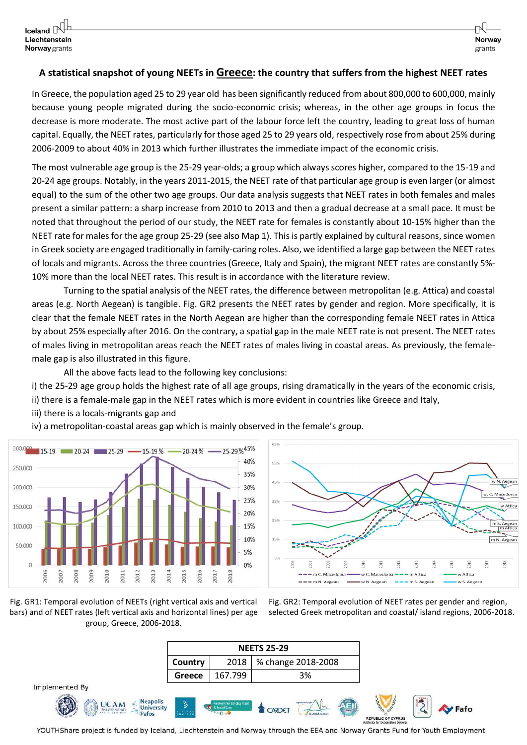#### **A statistical snapshot of young NEETs in Greece: the country that suffers from the highest NEET rates**

In Greece, the population aged 25 to 29 year old has been significantly reduced from about 800,000 to 600,000, mainly because young people migrated during the socio-economic crisis; whereas, in the other age groups in focus the decrease is more moderate. The most active part of the labour force left the country, leading to great loss of human capital. Equally, the NEET rates, particularly for those aged 25 to 29 years old, respectively rose from about 25% during 2006-2009 to about 40% in 2013 which further illustrates the immediate impact of the economic crisis.

The most vulnerable age group is the 25-29 year-olds; a group which always scores higher, compared to the 15-19 and 20-24 age groups. Notably, in the years 2011-2015, the NEET rate of that particular age group is even larger (or almost equal) to the sum of the other two age groups. Our data analysis suggests that NEET rates in both females and males present a similar pattern: a sharp increase from 2010 to 2013 and then a gradual decrease at a small pace. It must be noted that throughout the period of our study, the NEET rate for females is constantly about 10-15% higher than the NEET rate for males for the age group 25-29 (see also Map 1). This is partly explained by cultural reasons, since women in Greek society are engaged traditionally in family-caring roles. Also, we identified a large gap between the NEET rates of locals and migrants. Across the three countries (Greece, Italy and Spain), the migrant NEET rates are constantly 5%- 10% more than the local NEET rates. This result is in accordance with the literature review.

Turning to the spatial analysis of the NEET rates, the difference between metropolitan (e.g. Attica) and coastal areas (e.g. North Aegean) is tangible. Fig. GR2 presents the NEET rates by gender and region. More specifically, it is clear that the female NEET rates in the North Aegean are higher than the corresponding female NEET rates in Attica by about 25% especially after 2016. On the contrary, a spatial gap in the male NEET rate is not present. The NEET rates of males living in metropolitan areas reach the NEET rates of males living in coastal areas. As previously, the femalemale gap is also illustrated in this figure.

All the above facts lead to the following key conclusions:

i) the 25-29 age group holds the highest rate of all age groups, rising dramatically in the years of the economic crisis, ii) there is a female-male gap in the NEET rates which is more evident in countries like Greece and Italy,

- iii) there is a locals-migrants gap and
- iv) a metropolitan-coastal areas gap which is mainly observed in the female's group.





Fig. GR1: Temporal evolution of NEETs (right vertical axis and vertical bars) and of NEET rates (left vertical axis and horizontal lines) per age group, Greece, 2006-2018.

Fig. GR2: Temporal evolution of NEET rates per gender and region, selected Greek metropolitan and coastal/ island regions, 2006-2018.

|                                                                                          | <b>NEETS 25-29</b> |                                          |                 |                                           |                   |                                                                 |      |
|------------------------------------------------------------------------------------------|--------------------|------------------------------------------|-----------------|-------------------------------------------|-------------------|-----------------------------------------------------------------|------|
|                                                                                          | Country            | 2018                                     |                 | % change 2018-2008                        |                   |                                                                 |      |
|                                                                                          | Greece             | 167.799                                  |                 | 3%                                        |                   |                                                                 |      |
| Implemented By                                                                           |                    |                                          |                 |                                           |                   |                                                                 |      |
| <b>Neapolis</b><br><b>UCAM</b><br><b>University</b><br>CARDING A THE ANTIBOTIVE<br>Pafos | ತಿ<br>401421       | etwork for Employment<br>4 & Social Care | <b>S</b> CARDET | <b>Again Avilians</b><br>La Cinatula 64.5 | <b>CONSULTANT</b> | <b>REPUBLIC OF CYPRUS</b><br>Authority for Cooperative Societes | Fafo |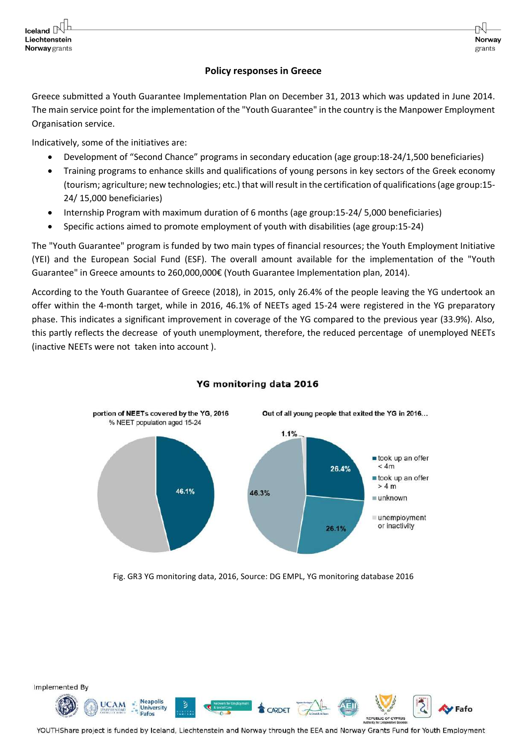#### **Policy responses in Greece**

Norway

grants

Greece submitted a Youth Guarantee Implementation Plan on December 31, 2013 which was updated in June 2014. The main service point for the implementation of the "Youth Guarantee" in the country is the Manpower Employment Organisation service.

Indicatively, some of the initiatives are:

- Development of "Second Chance" programs in secondary education (age group:18-24/1,500 beneficiaries)
- Training programs to enhance skills and qualifications of young persons in key sectors of the Greek economy (tourism; agriculture; new technologies; etc.) that will result in the certification of qualifications (age group:15- 24/ 15,000 beneficiaries)
- Internship Program with maximum duration of 6 months (age group:15-24/ 5,000 beneficiaries)
- Specific actions aimed to promote employment of youth with disabilities (age group:15-24)

The "Youth Guarantee" program is funded by two main types of financial resources; the Youth Employment Initiative (YEI) and the European Social Fund (ESF). The overall amount available for the implementation of the "Youth Guarantee" in Greece amounts to 260,000,000€ (Youth Guarantee Implementation plan, 2014).

According to the Youth Guarantee of Greece (2018), in 2015, only 26.4% of the people leaving the YG undertook an offer within the 4-month target, while in 2016, 46.1% of NEETs aged 15-24 were registered in the YG preparatory phase. This indicates a significant improvement in coverage of the YG compared to the previous year (33.9%). Also, this partly reflects the decrease of youth unemployment, therefore, the reduced percentage of unemployed NEETs (inactive NEETs were not taken into account ).



# YG monitoring data 2016

Fig. GR3 YG monitoring data, 2016, Source: DG EMPL, YG monitoring database 2016

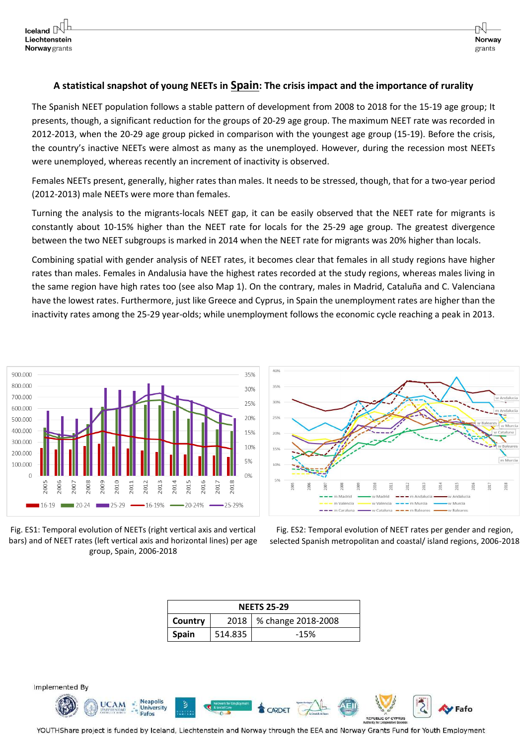# **A statistical snapshot of young NEETs in Spain: The crisis impact and the importance of rurality**

The Spanish NEET population follows a stable pattern of development from 2008 to 2018 for the 15-19 age group; It presents, though, a significant reduction for the groups of 20-29 age group. The maximum NEET rate was recorded in 2012-2013, when the 20-29 age group picked in comparison with the youngest age group (15-19). Before the crisis, the country's inactive NEETs were almost as many as the unemployed. However, during the recession most NEETs were unemployed, whereas recently an increment of inactivity is observed.

Females NEETs present, generally, higher rates than males. It needs to be stressed, though, that for a two-year period (2012-2013) male NEETs were more than females.

Turning the analysis to the migrants-locals NEET gap, it can be easily observed that the NEET rate for migrants is constantly about 10-15% higher than the NEET rate for locals for the 25-29 age group. The greatest divergence between the two NEET subgroups is marked in 2014 when the NEET rate for migrants was 20% higher than locals.

Combining spatial with gender analysis of NEET rates, it becomes clear that females in all study regions have higher rates than males. Females in Andalusia have the highest rates recorded at the study regions, whereas males living in the same region have high rates too (see also Map 1). On the contrary, males in Madrid, Cataluña and C. Valenciana have the lowest rates. Furthermore, just like Greece and Cyprus, in Spain the unemployment rates are higher than the inactivity rates among the 25-29 year-olds; while unemployment follows the economic cycle reaching a peak in 2013.







Fig. ES2: Temporal evolution of NEET rates per gender and region, selected Spanish metropolitan and coastal/ island regions, 2006-2018

| <b>NEETS 25-29</b> |         |                           |  |  |  |  |
|--------------------|---------|---------------------------|--|--|--|--|
| Country            |         | 2018   % change 2018-2008 |  |  |  |  |
| <b>Spain</b>       | 514.835 | $-15%$                    |  |  |  |  |



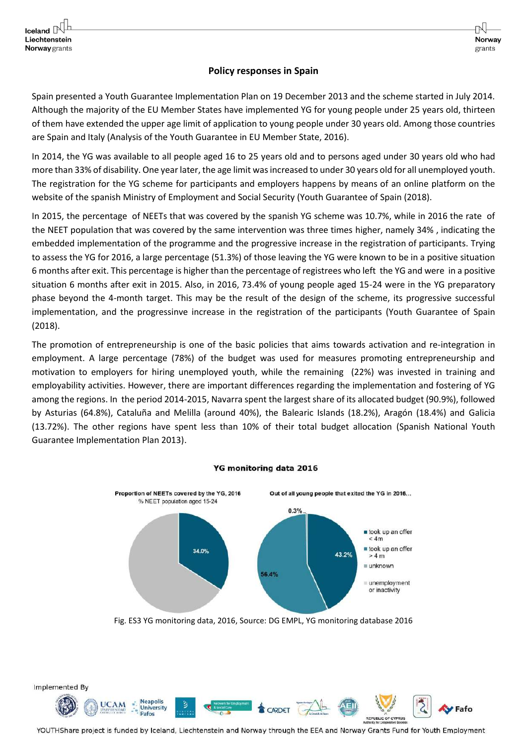#### **Policy responses in Spain**

Norway

grants

Spain presented a Youth Guarantee Implementation Plan on 19 December 2013 and the scheme started in July 2014. Although the majority of the EU Member States have implemented YG for young people under 25 years old, thirteen of them have extended the upper age limit of application to young people under 30 years old. Among those countries are Spain and Italy (Analysis of the Youth Guarantee in EU Member State, 2016).

In 2014, the YG was available to all people aged 16 to 25 years old and to persons aged under 30 years old who had more than 33% of disability. One year later, the age limit was increased to under 30 years old for all unemployed youth. The registration for the YG scheme for participants and employers happens by means of an online platform on the website of the spanish Ministry of Employment and Social Security (Youth Guarantee of Spain (2018).

In 2015, the percentage of NEETs that was covered by the spanish YG scheme was 10.7%, while in 2016 the rate of the NEET population that was covered by the same intervention was three times higher, namely 34% , indicating the embedded implementation of the programme and the progressive increase in the registration of participants. Trying to assess the YG for 2016, a large percentage (51.3%) of those leaving the YG were known to be in a positive situation 6 months after exit. This percentage is higher than the percentage of registrees who left the YG and were in a positive situation 6 months after exit in 2015. Also, in 2016, 73.4% of young people aged 15-24 were in the YG preparatory phase beyond the 4-month target. This may be the result of the design of the scheme, its progressive successful implementation, and the progressinve increase in the registration of the participants (Youth Guarantee of Spain (2018).

The promotion of entrepreneurship is one of the basic policies that aims towards activation and re-integration in employment. A large percentage (78%) of the budget was used for measures promoting entrepreneurship and motivation to employers for hiring unemployed youth, while the remaining (22%) was invested in training and employability activities. However, there are important differences regarding the implementation and fostering of YG among the regions. In the period 2014-2015, Navarra spent the largest share of its allocated budget (90.9%), followed by Asturias (64.8%), Cataluña and Melilla (around 40%), the Balearic Islands (18.2%), Aragón (18.4%) and Galicia (13.72%). The other regions have spent less than 10% of their total budget allocation (Spanish National Youth Guarantee Implementation Plan 2013).



#### YG monitoring data 2016

Fig. ES3 YG monitoring data, 2016, Source: DG EMPL, YG monitoring database 2016

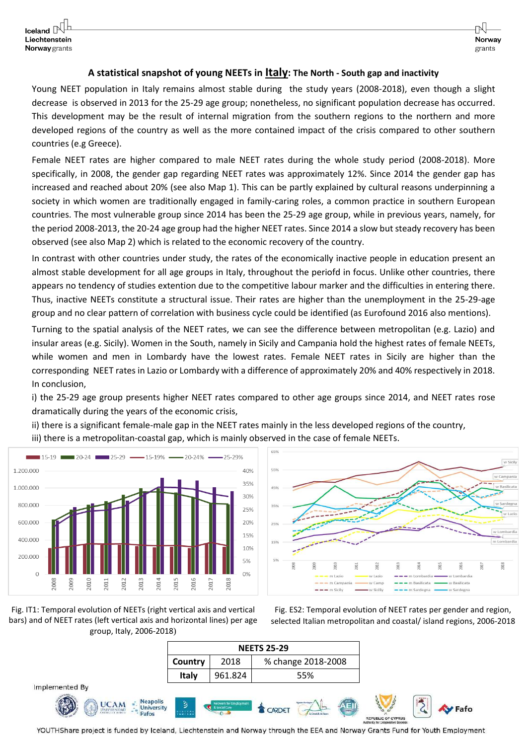#### **A statistical snapshot of young NEETs in Italy: The North - South gap and inactivity**

Young NEET population in Italy remains almost stable during the study years (2008-2018), even though a slight decrease is observed in 2013 for the 25-29 age group; nonetheless, no significant population decrease has occurred. This development may be the result of internal migration from the southern regions to the northern and more developed regions of the country as well as the more contained impact of the crisis compared to other southern countries (e.g Greece).

Female NEET rates are higher compared to male NEET rates during the whole study period (2008-2018). More specifically, in 2008, the gender gap regarding NEET rates was approximately 12%. Since 2014 the gender gap has increased and reached about 20% (see also Map 1). This can be partly explained by cultural reasons underpinning a society in which women are traditionally engaged in family-caring roles, a common practice in southern European countries. The most vulnerable group since 2014 has been the 25-29 age group, while in previous years, namely, for the period 2008-2013, the 20-24 age group had the higher NEET rates. Since 2014 a slow but steady recovery has been observed (see also Map 2) which is related to the economic recovery of the country.

In contrast with other countries under study, the rates of the economically inactive people in education present an almost stable development for all age groups in Italy, throughout the periofd in focus. Unlike other countries, there appears no tendency of studies extention due to the competitive labour marker and the difficulties in entering there. Thus, inactive NEETs constitute a structural issue. Their rates are higher than the unemployment in the 25-29-age group and no clear pattern of correlation with business cycle could be identified (as Eurofound 2016 also mentions).

Turning to the spatial analysis of the NEET rates, we can see the difference between metropolitan (e.g. Lazio) and insular areas (e.g. Sicily). Women in the South, namely in Sicily and Campania hold the highest rates of female NEETs, while women and men in Lombardy have the lowest rates. Female NEET rates in Sicily are higher than the corresponding NEET rates in Lazio or Lombardy with a difference of approximately 20% and 40% respectively in 2018. In conclusion,

i) the 25-29 age group presents higher NEET rates compared to other age groups since 2014, and NEET rates rose dramatically during the years of the economic crisis,

ii) there is a significant female-male gap in the NEET rates mainly in the less developed regions of the country, iii) there is a metropolitan-coastal gap, which is mainly observed in the case of female NEETs.







Fig. ES2: Temporal evolution of NEET rates per gender and region, selected Italian metropolitan and coastal/ island regions, 2006-2018

|                                                              | <b>NEETS 25-29</b> |                      |               |                       |  |                    |                |  |
|--------------------------------------------------------------|--------------------|----------------------|---------------|-----------------------|--|--------------------|----------------|--|
|                                                              | Country            | 2018                 |               | % change 2018-2008    |  |                    |                |  |
|                                                              | Italy              | 961.824              |               | 55%                   |  |                    |                |  |
| Implemented By                                               |                    |                      |               |                       |  |                    |                |  |
| <b>Neapolis</b><br><b>UCAM</b><br><b>University</b><br>Pafos | $\mathbf{B}$       | <b>A Social Care</b> | <b>GARDET</b> | <b>Again Avilians</b> |  | REPUBLIC OF CYPRUS | <b>Sy</b> Fafo |  |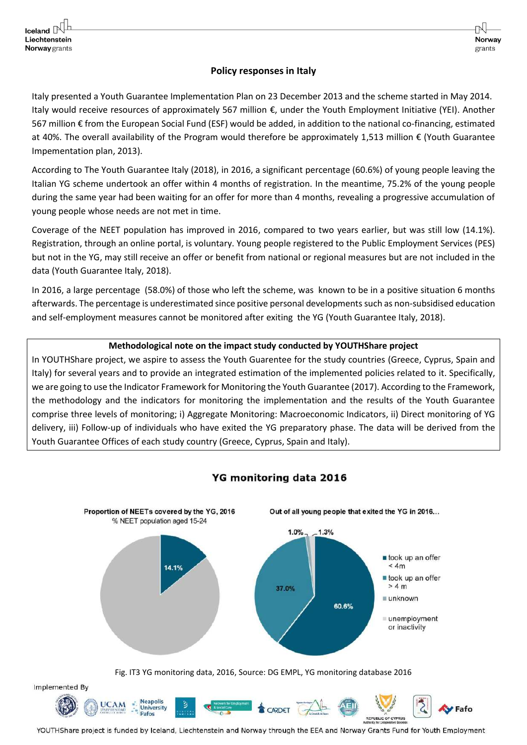# **Policy responses in Italy**

Norway

grants

Italy presented a Youth Guarantee Implementation Plan on 23 December 2013 and the scheme started in May 2014. Italy would receive resources of approximately 567 million €, under the Youth Employment Initiative (YEI). Another 567 million € from the European Social Fund (ESF) would be added, in addition to the national co-financing, estimated at 40%. The overall availability of the Program would therefore be approximately 1,513 million € (Youth Guarantee Impementation plan, 2013).

According to The Youth Guarantee Italy (2018), in 2016, a significant percentage (60.6%) of young people leaving the Italian YG scheme undertook an offer within 4 months of registration. In the meantime, 75.2% of the young people during the same year had been waiting for an offer for more than 4 months, revealing a progressive accumulation of young people whose needs are not met in time.

Coverage of the NEET population has improved in 2016, compared to two years earlier, but was still low (14.1%). Registration, through an online portal, is voluntary. Young people registered to the Public Employment Services (PES) but not in the YG, may still receive an offer or benefit from national or regional measures but are not included in the data (Youth Guarantee Italy, 2018).

In 2016, a large percentage (58.0%) of those who left the scheme, was known to be in a positive situation 6 months afterwards. The percentage is underestimated since positive personal developmentssuch as non-subsidised education and self-employment measures cannot be monitored after exiting the YG (Youth Guarantee Italy, 2018).

# **Methodological note on the impact study conducted by YOUTHShare project**

In YOUTHShare project, we aspire to assess the Youth Guarentee for the study countries (Greece, Cyprus, Spain and Italy) for several years and to provide an integrated estimation of the implemented policies related to it. Specifically, we are going to use the Indicator Framework for Monitoring the Youth Guarantee (2017). According to the Framework, the methodology and the indicators for monitoring the implementation and the results of the Youth Guarantee comprise three levels of monitoring; i) Aggregate Monitoring: Macroeconomic Indicators, ii) Direct monitoring of YG delivery, iii) Follow-up of individuals who have exited the YG preparatory phase. The data will be derived from the Youth Guarantee Offices of each study country (Greece, Cyprus, Spain and Italy).



# YG monitoring data 2016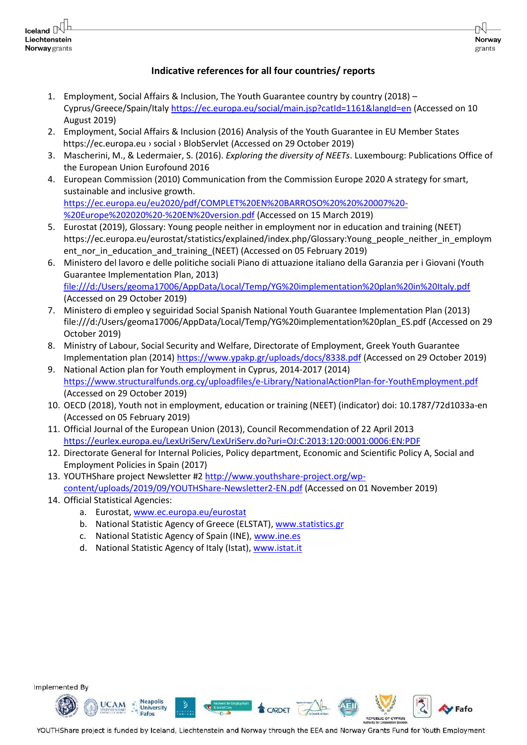# **Indicative references for all four countries/ reports**

Norway

grants

Fafo

REPUBLIC OF CYPRUS

- 1. Employment, Social Affairs & Inclusion, The Youth Guarantee country by country (2018) Cyprus/Greece/Spain/Italy<https://ec.europa.eu/social/main.jsp?catId=1161&langId=en> (Accessed on 10 August 2019)
- 2. Employment, Social Affairs & Inclusion (2016) Analysis of the Youth Guarantee in EU Member States https://ec.europa.eu › social › BlobServlet (Accessed on 29 October 2019)
- 3. Mascherini, M., & Ledermaier, S. (2016). *Exploring the diversity of NEETs*. Luxembourg: Publications Office of the European Union Eurofound 2016
- 4. European Commission (2010) Communication from the Commission Europe 2020 A strategy for smart, sustainable and inclusive growth. [https://ec.europa.eu/eu2020/pdf/COMPLET%20EN%20BARROSO%20%20%20007%20-](https://ec.europa.eu/eu2020/pdf/COMPLET%20EN%20BARROSO%20%20%20007%20-%20Europe%202020%20-%20EN%20version.pdf) [%20Europe%202020%20-%20EN%20version.pdf](https://ec.europa.eu/eu2020/pdf/COMPLET%20EN%20BARROSO%20%20%20007%20-%20Europe%202020%20-%20EN%20version.pdf) (Accessed on 15 March 2019)
- 5. Eurostat (2019), Glossary: Young people neither in employment nor in education and training (NEET) https://ec.europa.eu/eurostat/statistics/explained/index.php/Glossary:Young\_people\_neither\_in\_employm ent nor in education and training (NEET) (Accessed on 05 February 2019)
- 6. Ministero del lavoro e delle politiche sociali Piano di attuazione italiano della Garanzia per i Giovani (Youth Guarantee Implementation Plan, 2013) <file:///d:/Users/geoma17006/AppData/Local/Temp/YG%20implementation%20plan%20in%20Italy.pdf> (Accessed on 29 October 2019)
- 7. Ministero di empleo y seguiridad Social Spanish National Youth Guarantee Implementation Plan (2013) [file:///d:/Users/geoma17006/AppData/Local/Temp/YG%20implementation%20plan\\_ES.pdf](file:///d:/Users/geoma17006/AppData/Local/Temp/YG%20implementation%20plan_ES.pdf) (Accessed on 29 October 2019)
- 8. Ministry of Labour, Social Security and Welfare, Directorate of Employment, Greek Youth Guarantee Implementation plan (2014)<https://www.ypakp.gr/uploads/docs/8338.pdf> (Accessed on 29 October 2019)
- 9. National Action plan for Youth employment in Cyprus, 2014-2017 (2014) <https://www.structuralfunds.org.cy/uploadfiles/e-Library/NationalActionPlan-for-YouthEmployment.pdf> (Accessed on 29 October 2019)
- 10. OECD (2018), Youth not in employment, education or training (NEET) (indicator) doi: 10.1787/72d1033a-en (Accessed on 05 February 2019)
- 11. Official Journal of the European Union (2013), Council Recommendation of 22 April 2013 <https://eurlex.europa.eu/LexUriServ/LexUriServ.do?uri=OJ:C:2013:120:0001:0006:EN:PDF>
- 12. Directorate General for Internal Policies, Policy department, Economic and Scientific Policy A, Social and Employment Policies in Spain (2017)
- 13. YOUTHShare project Newsletter #2 [http://www.youthshare-project.org/wp](http://www.youthshare-project.org/wp-content/uploads/2019/09/YOUTHShare-Newsletter2-EN.pdf)[content/uploads/2019/09/YOUTHShare-Newsletter2-EN.pdf](http://www.youthshare-project.org/wp-content/uploads/2019/09/YOUTHShare-Newsletter2-EN.pdf) (Accessed on 01 November 2019)
- 14. Official Statistical Agencies:
	- a. Eurostat, [www.ec.europa.eu/eurostat](http://www.ec.europa.eu/eurostat)
	- b. National Statistic Agency of Greece (ELSTAT), [www.statistics.gr](http://www.statistics.gr/)
	- c. National Statistic Agency of Spain (INE), [www.ine.es](http://www.ine.es/)
	- d. National Statistic Agency of Italy (Istat), [www.istat.it](http://www.istat.it/)

Implemented By



YOUTHShare project is funded by Iceland, Liechtenstein and Norway through the EEA and Norway Grants Fund for Youth Employment

**CARDET**